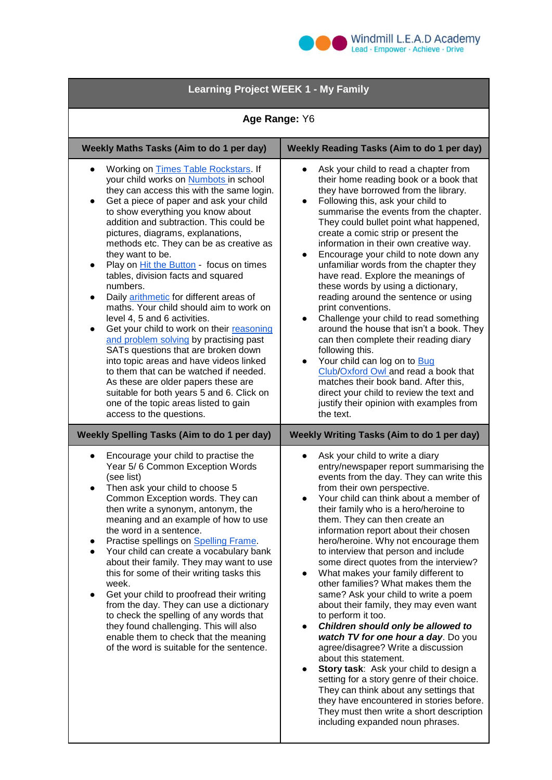

## **Learning Project WEEK 1 - My Family**

| Age Range: Y6                                                                                                                                                                                                                                                                                                                                                                                                                                                                                                                                                                                                                                                                                                                                                                                                                                                                                                                                                                             |                                                                                                                                                                                                                                                                                                                                                                                                                                                                                                                                                                                                                                                                                                                                                                                                                                                                                                                                                                                                                                                                       |
|-------------------------------------------------------------------------------------------------------------------------------------------------------------------------------------------------------------------------------------------------------------------------------------------------------------------------------------------------------------------------------------------------------------------------------------------------------------------------------------------------------------------------------------------------------------------------------------------------------------------------------------------------------------------------------------------------------------------------------------------------------------------------------------------------------------------------------------------------------------------------------------------------------------------------------------------------------------------------------------------|-----------------------------------------------------------------------------------------------------------------------------------------------------------------------------------------------------------------------------------------------------------------------------------------------------------------------------------------------------------------------------------------------------------------------------------------------------------------------------------------------------------------------------------------------------------------------------------------------------------------------------------------------------------------------------------------------------------------------------------------------------------------------------------------------------------------------------------------------------------------------------------------------------------------------------------------------------------------------------------------------------------------------------------------------------------------------|
| Weekly Maths Tasks (Aim to do 1 per day)                                                                                                                                                                                                                                                                                                                                                                                                                                                                                                                                                                                                                                                                                                                                                                                                                                                                                                                                                  | <b>Weekly Reading Tasks (Aim to do 1 per day)</b>                                                                                                                                                                                                                                                                                                                                                                                                                                                                                                                                                                                                                                                                                                                                                                                                                                                                                                                                                                                                                     |
| Working on Times Table Rockstars. If<br>your child works on Numbots in school<br>they can access this with the same login.<br>Get a piece of paper and ask your child<br>$\bullet$<br>to show everything you know about<br>addition and subtraction. This could be<br>pictures, diagrams, explanations,<br>methods etc. They can be as creative as<br>they want to be.<br>Play on <b>Hit the Button</b> - focus on times<br>$\bullet$<br>tables, division facts and squared<br>numbers.<br>Daily arithmetic for different areas of<br>maths. Your child should aim to work on<br>level 4, 5 and 6 activities.<br>Get your child to work on their reasoning<br>and problem solving by practising past<br>SATs questions that are broken down<br>into topic areas and have videos linked<br>to them that can be watched if needed.<br>As these are older papers these are<br>suitable for both years 5 and 6. Click on<br>one of the topic areas listed to gain<br>access to the questions. | Ask your child to read a chapter from<br>$\bullet$<br>their home reading book or a book that<br>they have borrowed from the library.<br>Following this, ask your child to<br>$\bullet$<br>summarise the events from the chapter.<br>They could bullet point what happened,<br>create a comic strip or present the<br>information in their own creative way.<br>Encourage your child to note down any<br>$\bullet$<br>unfamiliar words from the chapter they<br>have read. Explore the meanings of<br>these words by using a dictionary,<br>reading around the sentence or using<br>print conventions.<br>Challenge your child to read something<br>$\bullet$<br>around the house that isn't a book. They<br>can then complete their reading diary<br>following this.<br>Your child can log on to Bug<br>$\bullet$<br>Club/Oxford Owl and read a book that<br>matches their book band. After this,<br>direct your child to review the text and<br>justify their opinion with examples from<br>the text.                                                                |
| <b>Weekly Spelling Tasks (Aim to do 1 per day)</b>                                                                                                                                                                                                                                                                                                                                                                                                                                                                                                                                                                                                                                                                                                                                                                                                                                                                                                                                        | <b>Weekly Writing Tasks (Aim to do 1 per day)</b>                                                                                                                                                                                                                                                                                                                                                                                                                                                                                                                                                                                                                                                                                                                                                                                                                                                                                                                                                                                                                     |
| Encourage your child to practise the<br>$\bullet$<br>Year 5/6 Common Exception Words<br>(see list)<br>Then ask your child to choose 5<br>$\bullet$<br>Common Exception words. They can<br>then write a synonym, antonym, the<br>meaning and an example of how to use<br>the word in a sentence.<br>Practise spellings on Spelling Frame.<br>Your child can create a vocabulary bank<br>about their family. They may want to use<br>this for some of their writing tasks this<br>week.<br>Get your child to proofread their writing<br>from the day. They can use a dictionary<br>to check the spelling of any words that<br>they found challenging. This will also<br>enable them to check that the meaning<br>of the word is suitable for the sentence.                                                                                                                                                                                                                                  | Ask your child to write a diary<br>$\bullet$<br>entry/newspaper report summarising the<br>events from the day. They can write this<br>from their own perspective.<br>Your child can think about a member of<br>$\bullet$<br>their family who is a hero/heroine to<br>them. They can then create an<br>information report about their chosen<br>hero/heroine. Why not encourage them<br>to interview that person and include<br>some direct quotes from the interview?<br>What makes your family different to<br>other families? What makes them the<br>same? Ask your child to write a poem<br>about their family, they may even want<br>to perform it too.<br>Children should only be allowed to<br>watch TV for one hour a day. Do you<br>agree/disagree? Write a discussion<br>about this statement.<br>Story task: Ask your child to design a<br>setting for a story genre of their choice.<br>They can think about any settings that<br>they have encountered in stories before.<br>They must then write a short description<br>including expanded noun phrases. |